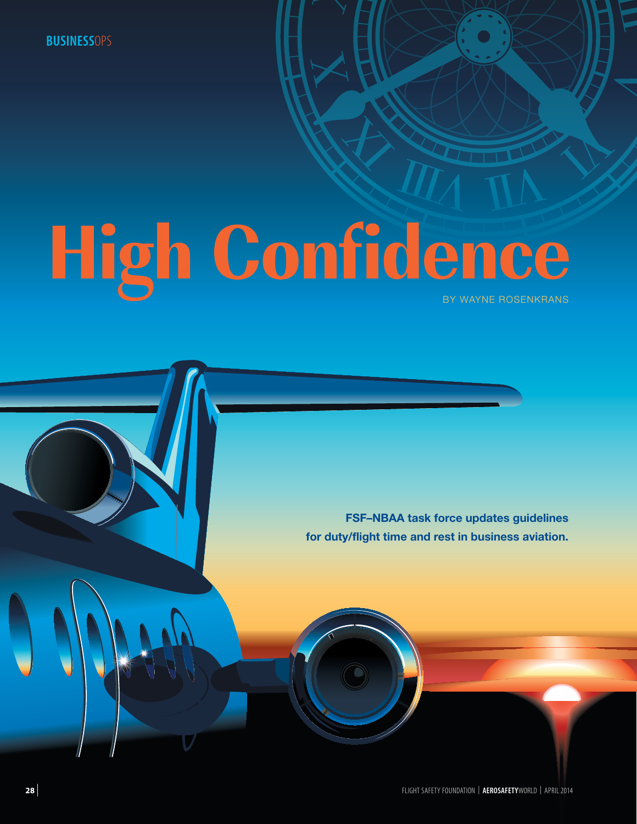**BUSINESS**OPS

# High Confidence

**FSF–NBAA task force updates guidelines for duty/flight time and rest in business aviation.**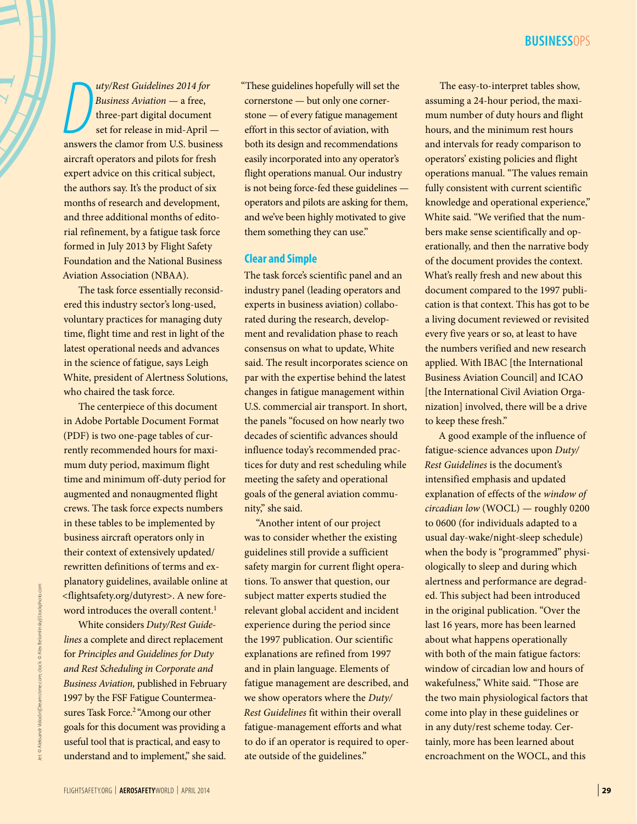*D D D D D D Business Aviation* — a free,<br>
three-part digital document<br>
set for release in mid-April —<br>
answers the clamor from U.S. business *uty/Rest Guidelines 2014 for Business Aviation* — a free, three-part digital document set for release in mid-April aircraft operators and pilots for fresh expert advice on this critical subject, the authors say. It's the product of six months of research and development, and three additional months of editorial refinement, by a fatigue task force formed in July 2013 by Flight Safety Foundation and the National Business Aviation Association (NBAA).

The task force essentially reconsidered this industry sector's long-used, voluntary practices for managing duty time, flight time and rest in light of the latest operational needs and advances in the science of fatigue, says Leigh White, president of Alertness Solutions, who chaired the task force.

The centerpiece of this document in Adobe Portable Document Format (PDF) is two one-page tables of currently recommended hours for maximum duty period, maximum flight time and minimum off-duty period for augmented and nonaugmented flight crews. The task force expects numbers in these tables to be implemented by business aircraft operators only in their context of extensively updated/ rewritten definitions of terms and explanatory guidelines, available online at [<flightsafety.org/dutyr](http://flightsafety.org/duty-and-rest-scheduling-link)est>. A new foreword introduces the overall content.<sup>1</sup>

White considers *Duty/Rest Guidelines* a complete and direct replacement for *Principles and Guidelines for Duty and Rest Scheduling in Corporate and Business Aviation,* published in February 1997 by the FSF Fatigue Countermeasures Task Force.<sup>2</sup> "Among our other goals for this document was providing a useful tool that is practical, and easy to understand and to implement," she said.

"These guidelines hopefully will set the cornerstone — but only one cornerstone — of every fatigue management effort in this sector of aviation, with both its design and recommendations easily incorporated into any operator's flight operations manual. Our industry is not being force-fed these guidelines operators and pilots are asking for them, and we've been highly motivated to give them something they can use."

### **Clear and Simple**

The task force's scientific panel and an industry panel (leading operators and experts in business aviation) collaborated during the research, development and revalidation phase to reach consensus on what to update, White said. The result incorporates science on par with the expertise behind the latest changes in fatigue management within U.S. commercial air transport. In short, the panels "focused on how nearly two decades of scientific advances should influence today's recommended practices for duty and rest scheduling while meeting the safety and operational goals of the general aviation community," she said.

"Another intent of our project was to consider whether the existing guidelines still provide a sufficient safety margin for current flight operations. To answer that question, our subject matter experts studied the relevant global accident and incident experience during the period since the 1997 publication. Our scientific explanations are refined from 1997 and in plain language. Elements of fatigue management are described, and we show operators where the *Duty/ Rest Guidelines* fit within their overall fatigue-management efforts and what to do if an operator is required to operate outside of the guidelines."

The easy-to-interpret tables show, assuming a 24-hour period, the maximum number of duty hours and flight hours, and the minimum rest hours and intervals for ready comparison to operators' existing policies and flight operations manual. "The values remain fully consistent with current scientific knowledge and operational experience," White said. "We verified that the numbers make sense scientifically and operationally, and then the narrative body of the document provides the context. What's really fresh and new about this document compared to the 1997 publication is that context. This has got to be a living document reviewed or revisited every five years or so, at least to have the numbers verified and new research applied. With IBAC [the International Business Aviation Council] and ICAO [the International Civil Aviation Organization] involved, there will be a drive to keep these fresh."

A good example of the influence of fatigue-science advances upon *Duty/ Rest Guidelines* is the document's intensified emphasis and updated explanation of effects of the *window of circadian low* (WOCL) — roughly 0200 to 0600 (for individuals adapted to a usual day-wake/night-sleep schedule) when the body is "programmed" physiologically to sleep and during which alertness and performance are degraded. This subject had been introduced in the original publication. "Over the last 16 years, more has been learned about what happens operationally with both of the main fatigue factors: window of circadian low and hours of wakefulness," White said. "Those are the two main physiological factors that come into play in these guidelines or in any duty/rest scheme today. Certainly, more has been learned about encroachment on the WOCL, and this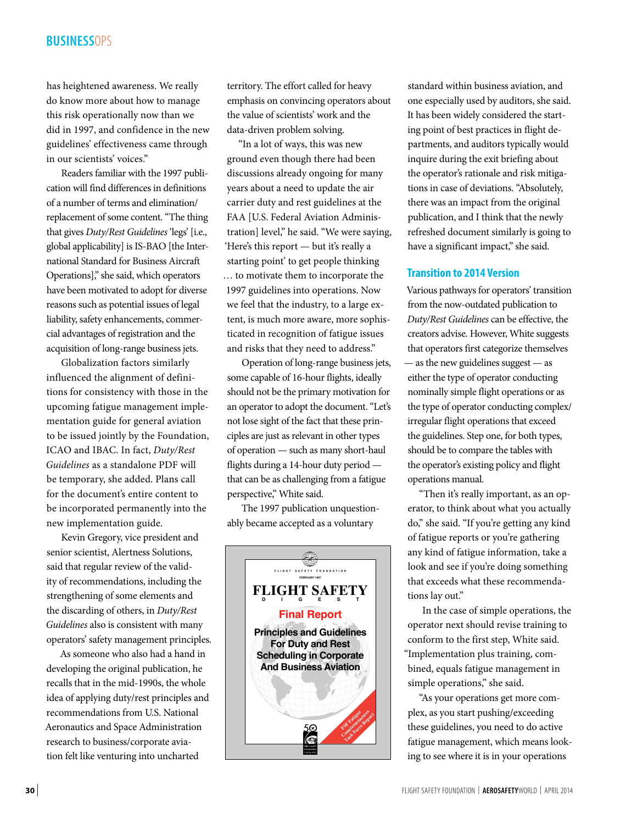# **BUSINESS**OPS

has heightened awareness. We really do know more about how to manage this risk operationally now than we did in 1997, and confidence in the new guidelines' effectiveness came through in our scientists' voices."

Readers familiar with the 1997 publication will find differences in definitions of a number of terms and elimination/ replacement of some content. "The thing that gives *Duty/Rest Guidelines* 'legs' [i.e., global applicability] is IS-BAO [the International Standard for Business Aircraft Operations]," she said, which operators have been motivated to adopt for diverse reasons such as potential issues of legal liability, safety enhancements, commercial advantages of registration and the acquisition of long-range business jets.

Globalization factors similarly influenced the alignment of definitions for consistency with those in the upcoming fatigue management implementation guide for general aviation to be issued jointly by the Foundation, ICAO and IBAC. In fact, *Duty/Rest Guidelines* as a standalone PDF will be temporary, she added. Plans call for the document's entire content to be incorporated permanently into the new implementation guide.

Kevin Gregory, vice president and senior scientist, Alertness Solutions, said that regular review of the validity of recommendations, including the strengthening of some elements and the discarding of others, in *Duty/Rest Guidelines* also is consistent with many operators' safety management principles.

As someone who also had a hand in developing the original publication, he recalls that in the mid-1990s, the whole idea of applying duty/rest principles and recommendations from U.S. National Aeronautics and Space Administration research to business/corporate aviation felt like venturing into uncharted

territory. The effort called for heavy emphasis on convincing operators about the value of scientists' work and the data-driven problem solving.

"In a lot of ways, this was new ground even though there had been discussions already ongoing for many years about a need to update the air carrier duty and rest guidelines at the FAA [U.S. Federal Aviation Administration] level," he said. "We were saying, 'Here's this report — but it's really a starting point' to get people thinking … to motivate them to incorporate the 1997 guidelines into operations. Now we feel that the industry, to a large extent, is much more aware, more sophisticated in recognition of fatigue issues and risks that they need to address."

Operation of long-range business jets, some capable of 16-hour flights, ideally should not be the primary motivation for an operator to adopt the document. "Let's not lose sight of the fact that these principles are just as relevant in other types of operation — such as many short-haul flights during a 14-hour duty period that can be as challenging from a fatigue perspective," White said.

The 1997 publication unquestionably became accepted as a voluntary



standard within business aviation, and one especially used by auditors, she said. It has been widely considered the starting point of best practices in flight departments, and auditors typically would inquire during the exit briefing about the operator's rationale and risk mitigations in case of deviations. "Absolutely, there was an impact from the original publication, and I think that the newly refreshed document similarly is going to have a significant impact," she said.

## **Transition to 2014 Version**

Various pathways for operators' transition from the now-outdated publication to *Duty/Rest Guidelines* can be effective, the creators advise. However, White suggests that operators first categorize themselves — as the new guidelines suggest — as either the type of operator conducting nominally simple flight operations or as the type of operator conducting complex/ irregular flight operations that exceed the guidelines. Step one, for both types, should be to compare the tables with the operator's existing policy and flight operations manual.

"Then it's really important, as an operator, to think about what you actually do," she said. "If you're getting any kind of fatigue reports or you're gathering any kind of fatigue information, take a look and see if you're doing something that exceeds what these recommendations lay out."

In the case of simple operations, the operator next should revise training to conform to the first step, White said. "Implementation plus training, combined, equals fatigue management in simple operations," she said.

"As your operations get more complex, as you start pushing/exceeding these guidelines, you need to do active fatigue management, which means looking to see where it is in your operations